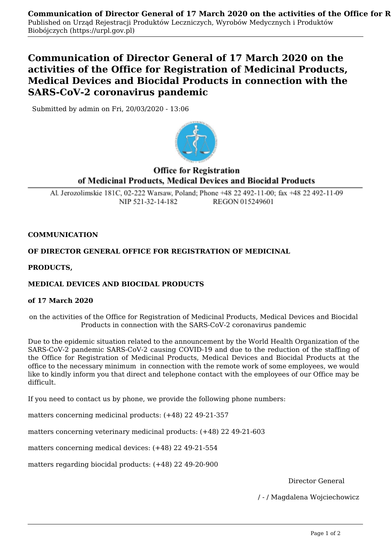# **Communication of Director General of 17 March 2020 on the activities of the Office for Registration of Medicinal Products, Medical Devices and Biocidal Products in connection with the SARS-CoV-2 coronavirus pandemic**

Submitted by admin on Fri, 20/03/2020 - 13:06



# **Office for Registration** of Medicinal Products, Medical Devices and Biocidal Products

Al. Jerozolimskie 181C, 02-222 Warsaw, Poland: Phone +48 22 492-11-00: fax +48 22 492-11-09 NIP 521-32-14-182 REGON 015249601

### **COMMUNICATION**

## **OF DIRECTOR GENERAL OFFICE FOR REGISTRATION OF MEDICINAL**

**PRODUCTS,**

#### **MEDICAL DEVICES AND BIOCIDAL PRODUCTS**

#### **of 17 March 2020**

on the activities of the Office for Registration of Medicinal Products, Medical Devices and Biocidal Products in connection with the SARS-CoV-2 coronavirus pandemic

Due to the epidemic situation related to the announcement by the World Health Organization of the SARS-CoV-2 pandemic SARS-CoV-2 causing COVID-19 and due to the reduction of the staffing of the Office for Registration of Medicinal Products, Medical Devices and Biocidal Products at the office to the necessary minimum in connection with the remote work of some employees, we would like to kindly inform you that direct and telephone contact with the employees of our Office may be difficult.

If you need to contact us by phone, we provide the following phone numbers:

matters concerning medicinal products: (+48) 22 49-21-357

matters concerning veterinary medicinal products: (+48) 22 49-21-603

matters concerning medical devices: (+48) 22 49-21-554

matters regarding biocidal products: (+48) 22 49-20-900

Director General

/ - / Magdalena Wojciechowicz